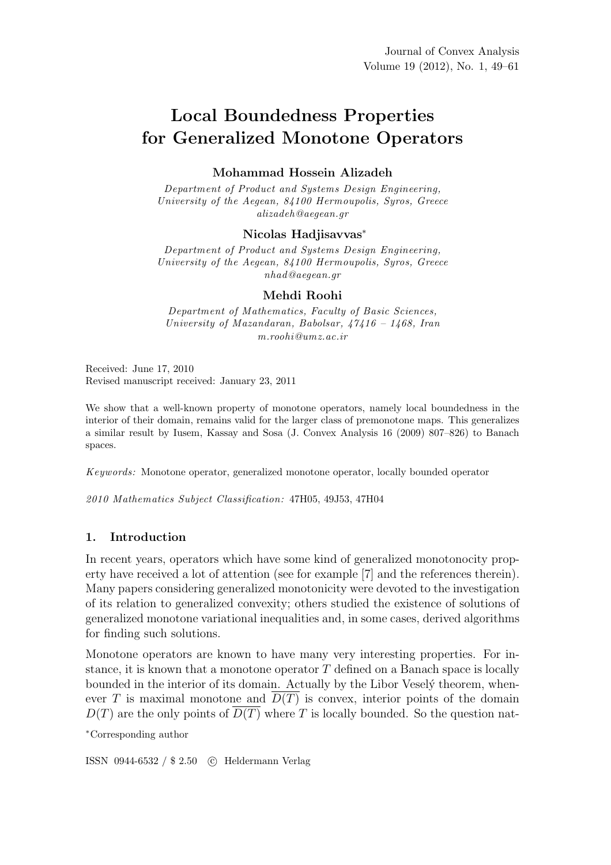# Local Boundedness Properties for Generalized Monotone Operators

# Mohammad Hossein Alizadeh

*Department of Product and Systems Design Engineering, University of the Aegean, 84100 Hermoupolis, Syros, Greece alizadeh@aegean.gr*

## Nicolas Hadjisavvas<sup>∗</sup>

*Department of Product and Systems Design Engineering, University of the Aegean, 84100 Hermoupolis, Syros, Greece nhad@aegean.gr*

## Mehdi Roohi

*Department of Mathematics, Faculty of Basic Sciences, University of Mazandaran, Babolsar, 47416 – 1468, Iran m.roohi@umz.ac.ir*

Received: June 17, 2010 Revised manuscript received: January 23, 2011

We show that a well-known property of monotone operators, namely local boundedness in the interior of their domain, remains valid for the larger class of premonotone maps. This generalizes a similar result by Iusem, Kassay and Sosa (J. Convex Analysis 16 (2009) 807–826) to Banach spaces.

*Keywords:* Monotone operator, generalized monotone operator, locally bounded operator

*2010 Mathematics Subject Classification:* 47H05, 49J53, 47H04

# 1. Introduction

In recent years, operators which have some kind of generalized monotonocity property have received a lot of attention (see for example [7] and the references therein). Many papers considering generalized monotonicity were devoted to the investigation of its relation to generalized convexity; others studied the existence of solutions of generalized monotone variational inequalities and, in some cases, derived algorithms for finding such solutions.

Monotone operators are known to have many very interesting properties. For instance, it is known that a monotone operator  $T$  defined on a Banach space is locally bounded in the interior of its domain. Actually by the Libor Vesely theorem, whenever T is maximal monotone and  $\overline{D(T)}$  is convex, interior points of the domain  $D(T)$  are the only points of  $\overline{D(T)}$  where T is locally bounded. So the question nat-

<sup>∗</sup>Corresponding author

ISSN 0944-6532 / \$ 2.50 c Heldermann Verlag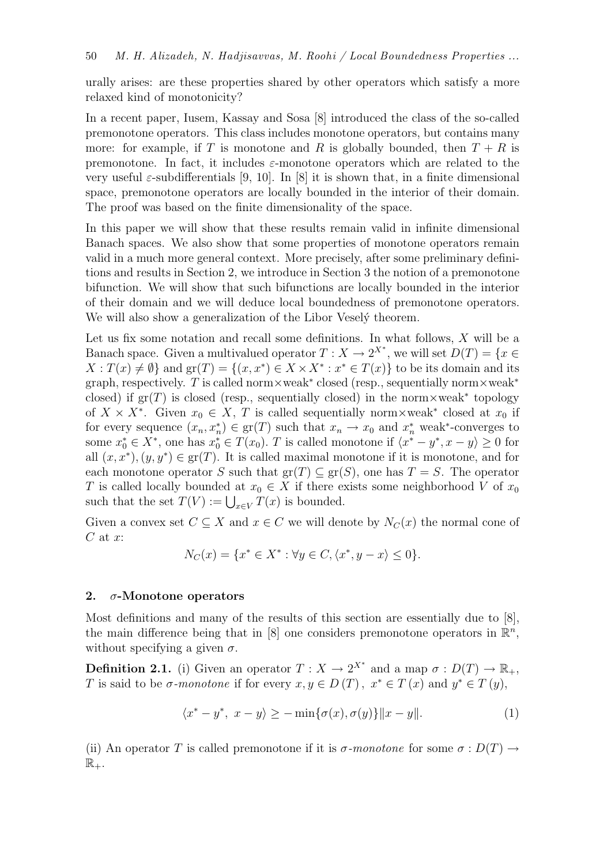urally arises: are these properties shared by other operators which satisfy a more relaxed kind of monotonicity?

In a recent paper, Iusem, Kassay and Sosa [8] introduced the class of the so-called premonotone operators. This class includes monotone operators, but contains many more: for example, if T is monotone and R is globally bounded, then  $T + R$  is premonotone. In fact, it includes  $\varepsilon$ -monotone operators which are related to the very useful  $\varepsilon$ -subdifferentials [9, 10]. In [8] it is shown that, in a finite dimensional space, premonotone operators are locally bounded in the interior of their domain. The proof was based on the finite dimensionality of the space.

In this paper we will show that these results remain valid in infinite dimensional Banach spaces. We also show that some properties of monotone operators remain valid in a much more general context. More precisely, after some preliminary definitions and results in Section 2, we introduce in Section 3 the notion of a premonotone bifunction. We will show that such bifunctions are locally bounded in the interior of their domain and we will deduce local boundedness of premonotone operators. We will also show a generalization of the Libor Vesely theorem.

Let us fix some notation and recall some definitions. In what follows, X will be a Banach space. Given a multivalued operator  $T: X \to 2^{X^*}$ , we will set  $D(T) = \{x \in$  $X: T(x) \neq \emptyset$  and  $gr(T) = \{(x, x^*) \in X \times X^* : x^* \in T(x)\}$  to be its domain and its graph, respectively. T is called norm×weak<sup>\*</sup> closed (resp., sequentially norm×weak<sup>\*</sup> closed) if  $gr(T)$  is closed (resp., sequentially closed) in the norm×weak<sup>\*</sup> topology of  $X \times X^*$ . Given  $x_0 \in X$ , T is called sequentially norm×weak\* closed at  $x_0$  if for every sequence  $(x_n, x_n^*) \in \text{gr}(T)$  such that  $x_n \to x_0$  and  $x_n^*$  weak\*-converges to some  $x_0^* \in X^*$ , one has  $x_0^* \in T(x_0)$ . T is called monotone if  $\langle x^* - y^*, x - y \rangle \ge 0$  for all  $(x, x^*), (y, y^*) \in \text{gr}(T)$ . It is called maximal monotone if it is monotone, and for each monotone operator S such that  $\text{gr}(T) \subseteq \text{gr}(S)$ , one has  $T = S$ . The operator T is called locally bounded at  $x_0 \in X$  if there exists some neighborhood V of  $x_0$ such that the set  $T(V) := \bigcup_{x \in V} T(x)$  is bounded.

Given a convex set  $C \subseteq X$  and  $x \in C$  we will denote by  $N_C(x)$  the normal cone of  $C$  at  $x$ :

$$
N_C(x) = \{x^* \in X^* : \forall y \in C, \langle x^*, y - x \rangle \le 0\}.
$$

# 2.  $\sigma$ -Monotone operators

Most definitions and many of the results of this section are essentially due to [8], the main difference being that in [8] one considers premonotone operators in  $\mathbb{R}^n$ , without specifying a given  $\sigma$ .

**Definition 2.1.** (i) Given an operator  $T: X \to 2^{X^*}$  and a map  $\sigma: D(T) \to \mathbb{R}_+$ , T is said to be  $\sigma$ -monotone if for every  $x, y \in D(T)$ ,  $x^* \in T(x)$  and  $y^* \in T(y)$ ,

$$
\langle x^* - y^*, \ x - y \rangle \ge -\min\{\sigma(x), \sigma(y)\} \|x - y\|.
$$
 (1)

(ii) An operator T is called premonotone if it is  $\sigma$ -monotone for some  $\sigma : D(T) \rightarrow$  $\mathbb{R}_+.$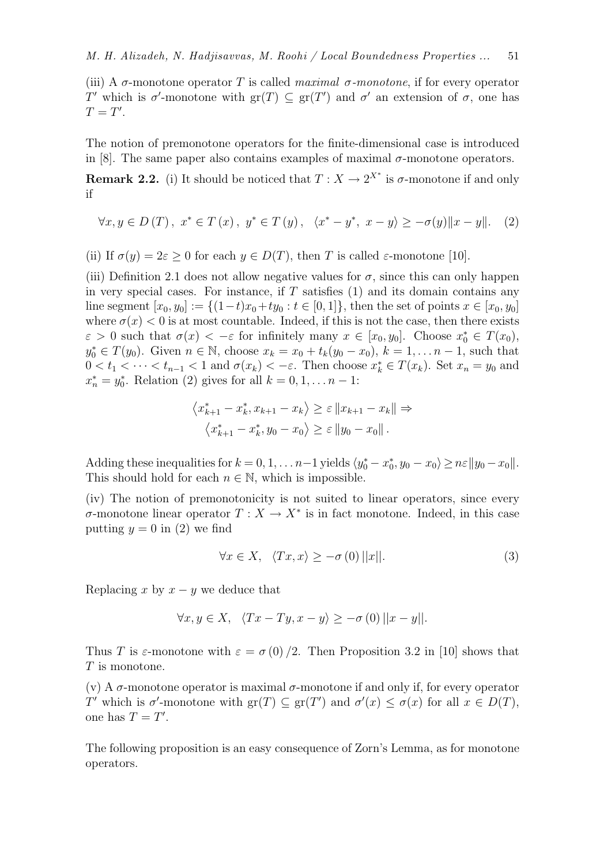(iii) A σ-monotone operator T is called *maximal* σ*-monotone*, if for every operator T' which is  $\sigma'$ -monotone with  $gr(T) \subseteq gr(T')$  and  $\sigma'$  an extension of  $\sigma$ , one has  $T=T'$ .

The notion of premonotone operators for the finite-dimensional case is introduced in [8]. The same paper also contains examples of maximal  $\sigma$ -monotone operators.

**Remark 2.2.** (i) It should be noticed that  $T: X \to 2^{X^*}$  is  $\sigma$ -monotone if and only if

$$
\forall x, y \in D(T), \ x^* \in T(x), \ y^* \in T(y), \ \ \langle x^* - y^*, \ x - y \rangle \ge -\sigma(y) \|x - y\|. \tag{2}
$$

(ii) If  $\sigma(y) = 2\varepsilon > 0$  for each  $y \in D(T)$ , then T is called  $\varepsilon$ -monotone [10].

(iii) Definition 2.1 does not allow negative values for  $\sigma$ , since this can only happen in very special cases. For instance, if  $T$  satisfies  $(1)$  and its domain contains any line segment  $[x_0, y_0] := \{(1-t)x_0 + ty_0 : t \in [0,1]\},\$  then the set of points  $x \in [x_0, y_0]$ where  $\sigma(x) < 0$  is at most countable. Indeed, if this is not the case, then there exists  $\varepsilon > 0$  such that  $\sigma(x) < -\varepsilon$  for infinitely many  $x \in [x_0, y_0]$ . Choose  $x_0^* \in T(x_0)$ ,  $y_0^* \in T(y_0)$ . Given  $n \in \mathbb{N}$ , choose  $x_k = x_0 + t_k(y_0 - x_0)$ ,  $k = 1, ..., n - 1$ , such that  $0 < t_1 < \cdots < t_{n-1} < 1$  and  $\sigma(x_k) < -\varepsilon$ . Then choose  $x_k^* \in T(x_k)$ . Set  $x_n = y_0$  and  $x_n^* = y_0^*$ . Relation (2) gives for all  $k = 0, 1, ..., n - 1$ :

$$
\langle x_{k+1}^* - x_k^*, x_{k+1} - x_k \rangle \ge \varepsilon ||x_{k+1} - x_k|| \Rightarrow
$$
  

$$
\langle x_{k+1}^* - x_k^*, y_0 - x_0 \rangle \ge \varepsilon ||y_0 - x_0||.
$$

Adding these inequalities for  $k = 0, 1, \ldots n-1$  yields  $\langle y_0^* - x_0^*, y_0 - x_0 \rangle \geq n\varepsilon ||y_0 - x_0||$ . This should hold for each  $n \in \mathbb{N}$ , which is impossible.

(iv) The notion of premonotonicity is not suited to linear operators, since every  $\sigma$ -monotone linear operator  $T: X \to X^*$  is in fact monotone. Indeed, in this case putting  $y = 0$  in (2) we find

$$
\forall x \in X, \quad \langle Tx, x \rangle \ge -\sigma(0) ||x||. \tag{3}
$$

Replacing x by  $x - y$  we deduce that

$$
\forall x, y \in X, \quad \langle Tx - Ty, x - y \rangle \ge -\sigma(0) ||x - y||.
$$

Thus T is  $\varepsilon$ -monotone with  $\varepsilon = \sigma(0)/2$ . Then Proposition 3.2 in [10] shows that  $T$  is monotone.

(v) A  $\sigma$ -monotone operator is maximal  $\sigma$ -monotone if and only if, for every operator T' which is  $\sigma'$ -monotone with  $gr(T) \subseteq gr(T')$  and  $\sigma'(x) \leq \sigma(x)$  for all  $x \in D(T)$ , one has  $T = T'$ .

The following proposition is an easy consequence of Zorn's Lemma, as for monotone operators.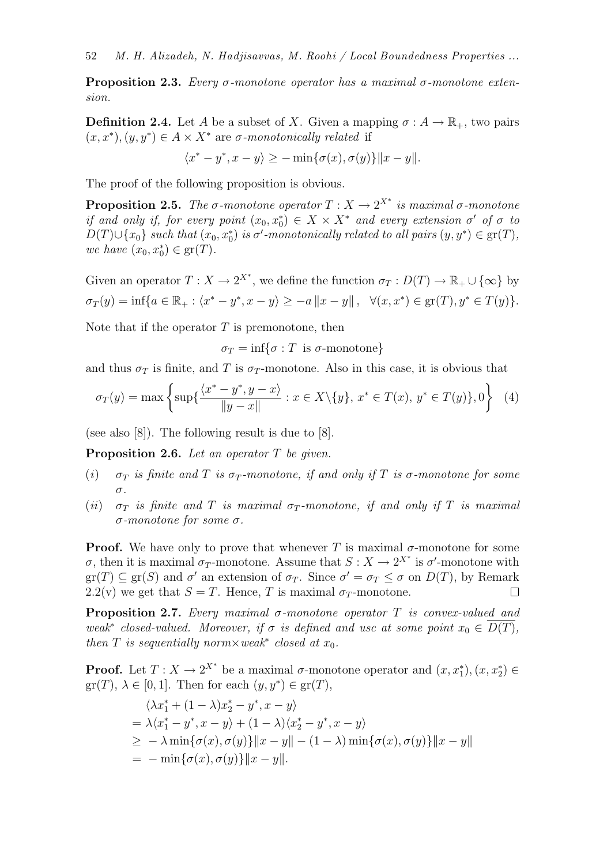Proposition 2.3. *Every* σ*-monotone operator has a maximal* σ*-monotone extension.*

**Definition 2.4.** Let A be a subset of X. Given a mapping  $\sigma : A \to \mathbb{R}_+$ , two pairs  $(x, x^*), (y, y^*) \in A \times X^*$  are  $\sigma$ -monotonically related if

$$
\langle x^* - y^*, x - y \rangle \ge -\min\{\sigma(x), \sigma(y)\}\|x - y\|.
$$

The proof of the following proposition is obvious.

**Proposition 2.5.** *The*  $\sigma$ -monotone operator  $T : X \to 2^{X^*}$  is maximal  $\sigma$ -monotone *if and only if, for every point*  $(x_0, x_0^*) \in X \times X^*$  *and every extension*  $\sigma'$  *of*  $\sigma$  *to*  $D(T) \cup \{x_0\}$  such that  $(x_0, x_0^*)$  is  $\sigma'$ -monotonically related to all pairs  $(y, y^*) \in \text{gr}(T)$ , *we have*  $(x_0, x_0^*) \in \text{gr}(T)$ *.* 

Given an operator  $T: X \to 2^{X^*}$ , we define the function  $\sigma_T: D(T) \to \mathbb{R}_+ \cup {\infty}$  by  $\sigma_T(y) = \inf\{a \in \mathbb{R}_+ : \langle x^* - y^*, x - y \rangle \ge -a \|x - y\|, \ \ \forall (x, x^*) \in \text{gr}(T), y^* \in T(y)\}.$ 

Note that if the operator  $T$  is premonotone, then

 $\sigma_T = \inf\{\sigma : T \text{ is } \sigma\text{-monotone}\}\$ 

and thus  $\sigma_T$  is finite, and T is  $\sigma_T$ -monotone. Also in this case, it is obvious that

$$
\sigma_T(y) = \max \left\{ \sup \{ \frac{\langle x^* - y^*, y - x \rangle}{\|y - x\|} : x \in X \setminus \{y\}, x^* \in T(x), y^* \in T(y) \}, 0 \right\} \tag{4}
$$

(see also [8]). The following result is due to [8].

Proposition 2.6. *Let an operator* T *be given.*

- (*i*)  $\sigma_T$  *is finite and* T *is*  $\sigma_T$ *-monotone, if and only if* T *is*  $\sigma$ *-monotone for some* σ*.*
- (*ii*)  $\sigma_T$  *is finite and* T *is maximal*  $\sigma_T$ -monotone, *if and only if* T *is maximal* σ*-monotone for some* σ*.*

**Proof.** We have only to prove that whenever T is maximal  $\sigma$ -monotone for some  $\sigma$ , then it is maximal  $\sigma_T$ -monotone. Assume that  $S: X \to 2^{X^*}$  is  $\sigma'$ -monotone with  $gr(T) \subseteq gr(S)$  and  $\sigma'$  an extension of  $\sigma_T$ . Since  $\sigma' = \sigma_T \leq \sigma$  on  $D(T)$ , by Remark 2.2(v) we get that  $S = T$ . Hence, T is maximal  $\sigma_T$ -monotone.  $\Box$ 

Proposition 2.7. *Every maximal* σ*-monotone operator* T *is convex-valued and weak*<sup>∗</sup> *closed-valued.* Moreover, if  $\sigma$  *is defined and usc at some point*  $x_0 \in \overline{D(T)}$ , *then*  $T$  *is sequentially norm* $\times$ *weak*<sup>\*</sup> *closed at*  $x_0$ *.* 

**Proof.** Let  $T: X \to 2^{X^*}$  be a maximal  $\sigma$ -monotone operator and  $(x, x_1^*), (x, x_2^*) \in$  $gr(T), \lambda \in [0,1].$  Then for each  $(y, y^*) \in gr(T),$ 

$$
\langle \lambda x_1^* + (1 - \lambda)x_2^* - y^*, x - y \rangle
$$
  
=  $\lambda \langle x_1^* - y^*, x - y \rangle + (1 - \lambda) \langle x_2^* - y^*, x - y \rangle$   
 $\geq -\lambda \min{\{\sigma(x), \sigma(y)\}\|x - y\| - (1 - \lambda) \min{\{\sigma(x), \sigma(y)\}\|x - y\|}$   
=  $-\min{\{\sigma(x), \sigma(y)\}\|x - y\|}.$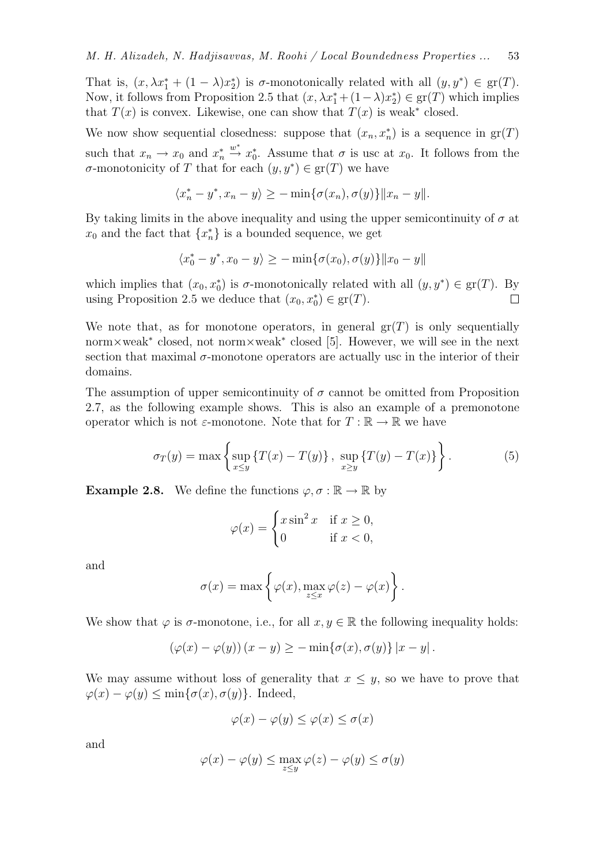That is,  $(x, \lambda x_1^* + (1 - \lambda)x_2^*)$  is  $\sigma$ -monotonically related with all  $(y, y^*) \in \text{gr}(T)$ . Now, it follows from Proposition 2.5 that  $(x, \lambda x_1^* + (1 - \lambda)x_2^*) \in \text{gr}(T)$  which implies that  $T(x)$  is convex. Likewise, one can show that  $T(x)$  is weak<sup>\*</sup> closed.

We now show sequential closedness: suppose that  $(x_n, x_n^*)$  is a sequence in  $gr(T)$ such that  $x_n \to x_0$  and  $x_n^*$  $\stackrel{w^*}{\rightarrow} x_0^*$ . Assume that  $\sigma$  is usc at  $x_0$ . It follows from the  $\sigma$ -monotonicity of T that for each  $(y, y^*) \in \text{gr}(T)$  we have

$$
\langle x_n^* - y^*, x_n - y \rangle \ge -\min\{\sigma(x_n), \sigma(y)\}\|x_n - y\|.
$$

By taking limits in the above inequality and using the upper semicontinuity of  $\sigma$  at  $x_0$  and the fact that  $\{x_n^*\}$  is a bounded sequence, we get

$$
\langle x_0^*-y^*,x_0-y\rangle\geq -\min\{\sigma(x_0),\sigma(y)\}\|x_0-y\|
$$

which implies that  $(x_0, x_0^*)$  is  $\sigma$ -monotonically related with all  $(y, y^*) \in \text{gr}(T)$ . By using Proposition 2.5 we deduce that  $(x_0, x_0^*) \in \text{gr}(T)$ .  $\Box$ 

We note that, as for monotone operators, in general  $gr(T)$  is only sequentially norm×weak<sup>∗</sup> closed, not norm×weak<sup>∗</sup> closed [5]. However, we will see in the next section that maximal  $\sigma$ -monotone operators are actually usc in the interior of their domains.

The assumption of upper semicontinuity of  $\sigma$  cannot be omitted from Proposition 2.7, as the following example shows. This is also an example of a premonotone operator which is not  $\varepsilon$ -monotone. Note that for  $T : \mathbb{R} \to \mathbb{R}$  we have

$$
\sigma_T(y) = \max \left\{ \sup_{x \le y} \{ T(x) - T(y) \}, \sup_{x \ge y} \{ T(y) - T(x) \} \right\}.
$$
 (5)

**Example 2.8.** We define the functions  $\varphi, \sigma : \mathbb{R} \to \mathbb{R}$  by

$$
\varphi(x) = \begin{cases} x \sin^2 x & \text{if } x \ge 0, \\ 0 & \text{if } x < 0, \end{cases}
$$

and

$$
\sigma(x) = \max \left\{ \varphi(x), \max_{z \leq x} \varphi(z) - \varphi(x) \right\}.
$$

We show that  $\varphi$  is  $\sigma$ -monotone, i.e., for all  $x, y \in \mathbb{R}$  the following inequality holds:

$$
(\varphi(x) - \varphi(y)) (x - y) \ge -\min{\{\sigma(x), \sigma(y)\} |x - y|}.
$$

We may assume without loss of generality that  $x \leq y$ , so we have to prove that  $\varphi(x) - \varphi(y) \leq \min{\{\sigma(x), \sigma(y)\}}$ . Indeed,

$$
\varphi(x) - \varphi(y) \le \varphi(x) \le \sigma(x)
$$

and

$$
\varphi(x) - \varphi(y) \le \max_{z \le y} \varphi(z) - \varphi(y) \le \sigma(y)
$$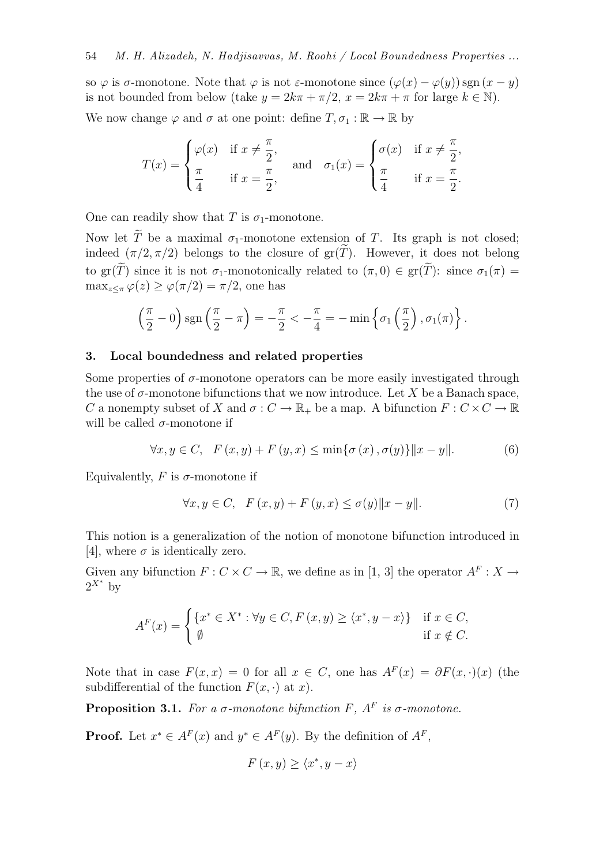so  $\varphi$  is  $\sigma$ -monotone. Note that  $\varphi$  is not  $\varepsilon$ -monotone since  $(\varphi(x) - \varphi(y))$  sgn $(x - y)$ is not bounded from below (take  $y = 2k\pi + \pi/2$ ,  $x = 2k\pi + \pi$  for large  $k \in \mathbb{N}$ ).

We now change  $\varphi$  and  $\sigma$  at one point: define  $T, \sigma_1 : \mathbb{R} \to \mathbb{R}$  by

$$
T(x) = \begin{cases} \varphi(x) & \text{if } x \neq \frac{\pi}{2}, \\ \frac{\pi}{4} & \text{if } x = \frac{\pi}{2}, \end{cases} \quad \text{and} \quad \sigma_1(x) = \begin{cases} \sigma(x) & \text{if } x \neq \frac{\pi}{2}, \\ \frac{\pi}{4} & \text{if } x = \frac{\pi}{2}. \end{cases}
$$

One can readily show that T is  $\sigma_1$ -monotone.

Now let  $\widetilde{T}$  be a maximal  $\sigma_1$ -monotone extension of T. Its graph is not closed; indeed  $(\pi/2, \pi/2)$  belongs to the closure of  $gr(T)$ . However, it does not belong to gr( $\widetilde{T}$ ) since it is not  $\sigma_1$ -monotonically related to  $(\pi, 0) \in \text{gr}(\widetilde{T})$ : since  $\sigma_1(\pi) =$  $\max_{z \leq \pi} \varphi(z) \geq \varphi(\pi/2) = \pi/2$ , one has

$$
\left(\frac{\pi}{2}-0\right)\mathrm{sgn}\left(\frac{\pi}{2}-\pi\right)=-\frac{\pi}{2}<-\frac{\pi}{4}=-\min\left\{\sigma_1\left(\frac{\pi}{2}\right),\sigma_1(\pi)\right\}.
$$

## 3. Local boundedness and related properties

Some properties of  $\sigma$ -monotone operators can be more easily investigated through the use of  $\sigma$ -monotone bifunctions that we now introduce. Let X be a Banach space, C a nonempty subset of X and  $\sigma: C \to \mathbb{R}_+$  be a map. A bifunction  $F: C \times C \to \mathbb{R}$ will be called  $\sigma$ -monotone if

$$
\forall x, y \in C, \quad F(x, y) + F(y, x) \le \min\{\sigma(x), \sigma(y)\}\|x - y\|.
$$
 (6)

Equivalently,  $F$  is  $\sigma$ -monotone if

$$
\forall x, y \in C, \quad F(x, y) + F(y, x) \le \sigma(y) \|x - y\|.
$$
 (7)

This notion is a generalization of the notion of monotone bifunction introduced in [4], where  $\sigma$  is identically zero.

Given any bifunction  $F: C \times C \to \mathbb{R}$ , we define as in [1, 3] the operator  $A^F: X \to$  $2^{X^*}$  by

$$
A^{F}(x) = \begin{cases} \{x^{*} \in X^{*} : \forall y \in C, F(x, y) \geq \langle x^{*}, y - x \rangle\} & \text{if } x \in C, \\ \emptyset & \text{if } x \notin C. \end{cases}
$$

Note that in case  $F(x, x) = 0$  for all  $x \in C$ , one has  $A^F(x) = \partial F(x, \cdot)(x)$  (the subdifferential of the function  $F(x, \cdot)$  at x).

**Proposition 3.1.** For a  $\sigma$ -monotone bifunction  $F$ ,  $A^F$  is  $\sigma$ -monotone.

**Proof.** Let  $x^* \in A^F(x)$  and  $y^* \in A^F(y)$ . By the definition of  $A^F$ ,

$$
F(x, y) \ge \langle x^*, y - x \rangle
$$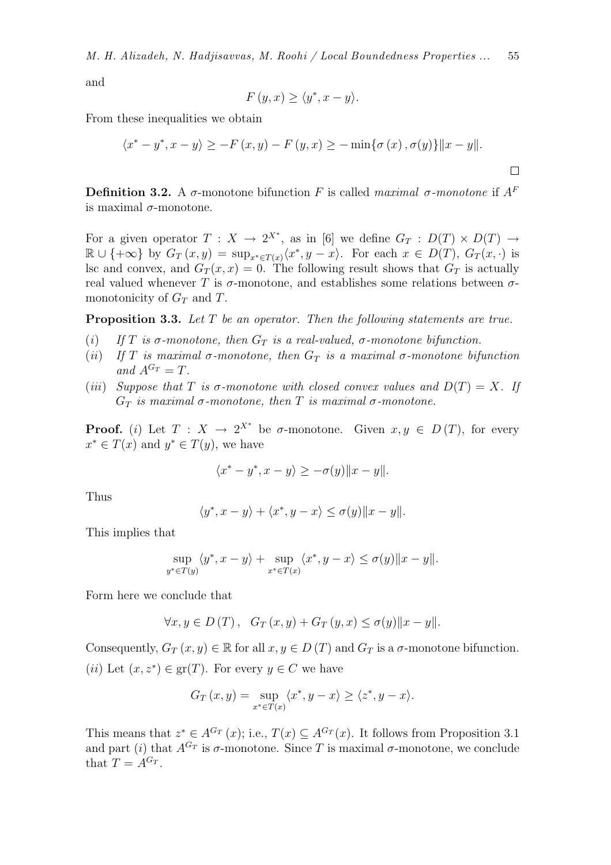*M. H. Alizadeh, N. Hadjisavvas, M. Roohi / Local Boundedness Properties ...* 55

and

$$
F(y, x) \ge \langle y^*, x - y \rangle.
$$

From these inequalities we obtain

$$
\langle x^* - y^*, x - y \rangle \ge -F(x, y) - F(y, x) \ge -\min{\lbrace \sigma(x), \sigma(y) \rbrace} ||x - y||.
$$

**Definition 3.2.** A σ-monotone bifunction F is called *maximal* σ-monotone if  $A<sup>F</sup>$ is maximal  $\sigma$ -monotone.

For a given operator  $T: X \to 2^{X^*}$ , as in [6] we define  $G_T: D(T) \times D(T) \to$  $\mathbb{R} \cup \{+\infty\}$  by  $G_T(x,y) = \sup_{x^* \in T(x)} \langle x^*, y - x \rangle$ . For each  $x \in D(T)$ ,  $G_T(x, \cdot)$  is lsc and convex, and  $G_T(x, x) = 0$ . The following result shows that  $G_T$  is actually real valued whenever T is  $\sigma$ -monotone, and establishes some relations between  $\sigma$ monotonicity of  $G_T$  and T.

Proposition 3.3. *Let* T *be an operator. Then the following statements are true.*

- (*i*) If T is  $\sigma$ -monotone, then  $G_T$  is a real-valued,  $\sigma$ -monotone bifunction.
- (*ii*) If T is maximal  $\sigma$ -monotone, then  $G_T$  is a maximal  $\sigma$ -monotone bifunction and  $A^{G_T} = T$ .
- (*iii*) *Suppose that* T *is*  $\sigma$ -monotone with closed convex values and  $D(T) = X$ . If G<sub>T</sub> is maximal σ-monotone, then T is maximal σ-monotone.

**Proof.** (i) Let  $T: X \to 2^{X^*}$  be  $\sigma$ -monotone. Given  $x, y \in D(T)$ , for every  $x^* \in T(x)$  and  $y^* \in T(y)$ , we have

$$
\langle x^* - y^*, x - y \rangle \ge -\sigma(y) \|x - y\|.
$$

Thus

$$
\langle y^*, x - y \rangle + \langle x^*, y - x \rangle \le \sigma(y) \|x - y\|.
$$

This implies that

$$
\sup_{y^* \in T(y)} \langle y^*, x - y \rangle + \sup_{x^* \in T(x)} \langle x^*, y - x \rangle \le \sigma(y) \|x - y\|.
$$

Form here we conclude that

$$
\forall x, y \in D(T), \quad G_T(x, y) + G_T(y, x) \le \sigma(y) \|x - y\|.
$$

Consequently,  $G_T(x, y) \in \mathbb{R}$  for all  $x, y \in D(T)$  and  $G_T$  is a  $\sigma$ -monotone bifunction. (*ii*) Let  $(x, z^*) \in \text{gr}(T)$ . For every  $y \in C$  we have

$$
G_T(x,y) = \sup_{x^* \in T(x)} \langle x^*, y - x \rangle \ge \langle z^*, y - x \rangle.
$$

This means that  $z^* \in A^{G_T}(x)$ ; i.e.,  $T(x) \subseteq A^{G_T}(x)$ . It follows from Proposition 3.1 and part (i) that  $A^{G_T}$  is  $\sigma$ -monotone. Since T is maximal  $\sigma$ -monotone, we conclude that  $T = A^{G_T}$ .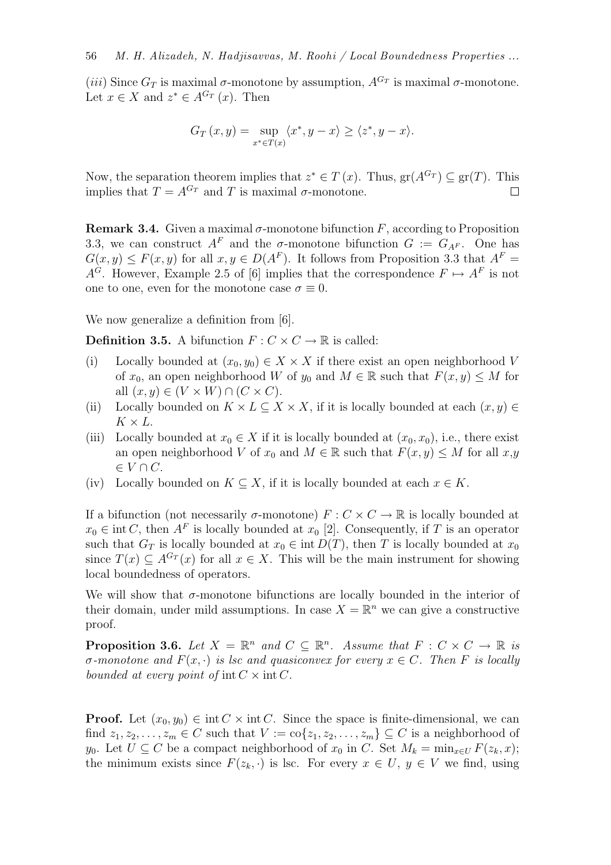(iii) Since  $G_T$  is maximal  $\sigma$ -monotone by assumption,  $A^{G_T}$  is maximal  $\sigma$ -monotone. Let  $x \in X$  and  $z^* \in A^{G_T}(x)$ . Then

$$
G_T(x,y) = \sup_{x^* \in T(x)} \langle x^*, y - x \rangle \ge \langle z^*, y - x \rangle.
$$

Now, the separation theorem implies that  $z^* \in T(x)$ . Thus,  $\text{gr}(A^{G_T}) \subseteq \text{gr}(T)$ . This implies that  $T = A^{G_T}$  and T is maximal  $\sigma$ -monotone.  $\Box$ 

**Remark 3.4.** Given a maximal  $\sigma$ -monotone bifunction F, according to Proposition 3.3, we can construct  $A^F$  and the  $\sigma$ -monotone bifunction  $G := G_{A^F}$ . One has  $G(x, y) \leq F(x, y)$  for all  $x, y \in D(A^F)$ . It follows from Proposition 3.3 that  $A^F =$  $A^G$ . However, Example 2.5 of [6] implies that the correspondence  $F \mapsto A^F$  is not one to one, even for the monotone case  $\sigma \equiv 0$ .

We now generalize a definition from [6].

**Definition 3.5.** A bifunction  $F: C \times C \rightarrow \mathbb{R}$  is called:

- (i) Locally bounded at  $(x_0, y_0) \in X \times X$  if there exist an open neighborhood V of  $x_0$ , an open neighborhood W of  $y_0$  and  $M \in \mathbb{R}$  such that  $F(x, y) \leq M$  for all  $(x, y) \in (V \times W) \cap (C \times C)$ .
- (ii) Locally bounded on  $K \times L \subseteq X \times X$ , if it is locally bounded at each  $(x, y) \in$  $K \times L$ .
- (iii) Locally bounded at  $x_0 \in X$  if it is locally bounded at  $(x_0, x_0)$ , i.e., there exist an open neighborhood V of  $x_0$  and  $M \in \mathbb{R}$  such that  $F(x, y) \leq M$  for all  $x, y$  $\in V \cap C$ .
- (iv) Locally bounded on  $K \subseteq X$ , if it is locally bounded at each  $x \in K$ .

If a bifunction (not necessarily  $\sigma$ -monotone)  $F: C \times C \to \mathbb{R}$  is locally bounded at  $x_0 \in \text{int } C$ , then  $A^F$  is locally bounded at  $x_0$  [2]. Consequently, if T is an operator such that  $G_T$  is locally bounded at  $x_0 \in \text{int } D(T)$ , then T is locally bounded at  $x_0$ since  $T(x) \subset A^{G_T}(x)$  for all  $x \in X$ . This will be the main instrument for showing local boundedness of operators.

We will show that  $\sigma$ -monotone bifunctions are locally bounded in the interior of their domain, under mild assumptions. In case  $X = \mathbb{R}^n$  we can give a constructive proof.

**Proposition 3.6.** Let  $X = \mathbb{R}^n$  and  $C \subseteq \mathbb{R}^n$ . Assume that  $F : C \times C \to \mathbb{R}$  is σ*-monotone and* F(x, ·) *is lsc and quasiconvex for every* x ∈ C*. Then* F *is locally bounded at every point of* int  $C \times \text{int } C$ .

**Proof.** Let  $(x_0, y_0) \in \text{int } C \times \text{int } C$ . Since the space is finite-dimensional, we can find  $z_1, z_2, \ldots, z_m \in C$  such that  $V := \text{co}\{z_1, z_2, \ldots, z_m\} \subseteq C$  is a neighborhood of y<sub>0</sub>. Let  $U \subseteq C$  be a compact neighborhood of  $x_0$  in C. Set  $M_k = \min_{x \in U} F(z_k, x);$ the minimum exists since  $F(z_k, \cdot)$  is lsc. For every  $x \in U$ ,  $y \in V$  we find, using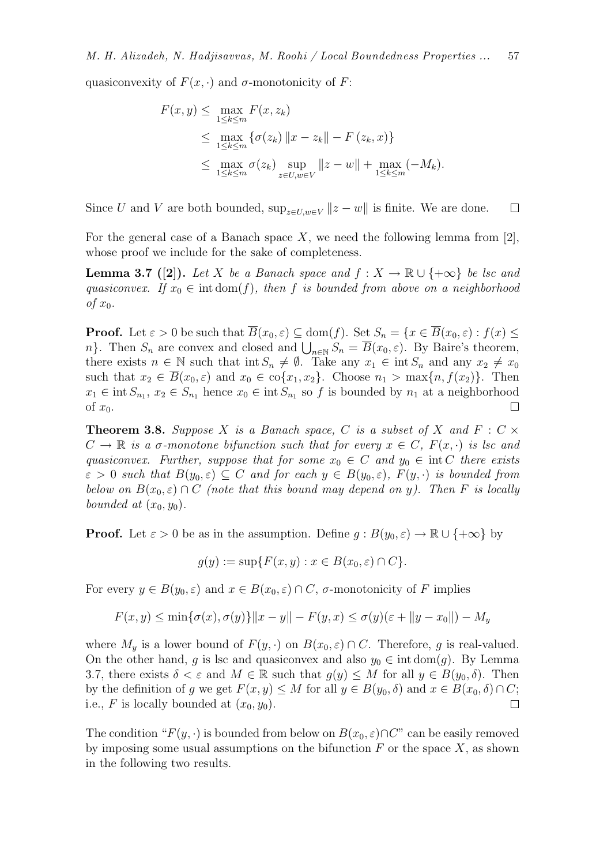quasiconvexity of  $F(x, \cdot)$  and  $\sigma$ -monotonicity of F:

$$
F(x, y) \le \max_{1 \le k \le m} F(x, z_k)
$$
  
\n
$$
\le \max_{1 \le k \le m} {\{\sigma(z_k) \|x - z_k\| - F(z_k, x)\}}
$$
  
\n
$$
\le \max_{1 \le k \le m} {\sigma(z_k)} \sup_{z \in U, w \in V} ||z - w|| + \max_{1 \le k \le m} (-M_k).
$$

Since U and V are both bounded,  $\sup_{z\in U,w\in V} ||z-w||$  is finite. We are done.  $\Box$ 

For the general case of a Banach space X, we need the following lemma from  $[2]$ , whose proof we include for the sake of completeness.

**Lemma 3.7** ([2]). Let X be a Banach space and  $f: X \to \mathbb{R} \cup \{+\infty\}$  be lsc and *quasiconvex.* If  $x_0 \in \text{int dom}(f)$ *, then* f *is bounded from above on a neighborhood*  $of x_0$ .

**Proof.** Let  $\varepsilon > 0$  be such that  $\overline{B}(x_0, \varepsilon) \subset \text{dom}(f)$ . Set  $S_n = \{x \in \overline{B}(x_0, \varepsilon) : f(x) \leq \overline{B}(x_0, \varepsilon) \}$ n}. Then  $S_n$  are convex and closed and  $\bigcup_{n\in\mathbb{N}} S_n = \overline{B}(x_0, \varepsilon)$ . By Baire's theorem, there exists  $n \in \mathbb{N}$  such that int  $S_n \neq \emptyset$ . Take any  $x_1 \in \text{int } S_n$  and any  $x_2 \neq x_0$ such that  $x_2 \in \overline{B}(x_0, \varepsilon)$  and  $x_0 \in \text{co}\{x_1, x_2\}$ . Choose  $n_1 > \max\{n, f(x_2)\}\$ . Then  $x_1 \in \text{int } S_{n_1}, x_2 \in S_{n_1}$  hence  $x_0 \in \text{int } S_{n_1}$  so f is bounded by  $n_1$  at a neighborhood of  $x_0$ .  $\Box$ 

**Theorem 3.8.** Suppose X is a Banach space, C is a subset of X and  $F : C \times$  $C \to \mathbb{R}$  *is a*  $\sigma$ -monotone bifunction such that for every  $x \in C$ ,  $F(x, \cdot)$  *is lsc and quasiconvex. Further, suppose that for some*  $x_0 \in C$  *and*  $y_0 \in \text{int } C$  *there exists*  $\varepsilon > 0$  such that  $B(y_0, \varepsilon) \subseteq C$  and for each  $y \in B(y_0, \varepsilon)$ ,  $F(y, \cdot)$  is bounded from *below on*  $B(x_0, \varepsilon) \cap C$  *(note that this bound may depend on y). Then* F *is locally bounded at*  $(x_0, y_0)$ *.* 

**Proof.** Let  $\varepsilon > 0$  be as in the assumption. Define  $g : B(y_0, \varepsilon) \to \mathbb{R} \cup \{+\infty\}$  by

$$
g(y) := \sup\{F(x, y) : x \in B(x_0, \varepsilon) \cap C\}.
$$

For every  $y \in B(y_0, \varepsilon)$  and  $x \in B(x_0, \varepsilon) \cap C$ ,  $\sigma$ -monotonicity of F implies

$$
F(x, y) \le \min\{\sigma(x), \sigma(y)\}\|x - y\| - F(y, x) \le \sigma(y)(\varepsilon + \|y - x_0\|) - M_y
$$

where  $M_y$  is a lower bound of  $F(y, \cdot)$  on  $B(x_0, \varepsilon) \cap C$ . Therefore, g is real-valued. On the other hand, g is lsc and quasiconvex and also  $y_0 \in \text{int dom}(q)$ . By Lemma 3.7, there exists  $\delta < \varepsilon$  and  $M \in \mathbb{R}$  such that  $g(y) \leq M$  for all  $y \in B(y_0, \delta)$ . Then by the definition of g we get  $F(x, y) \leq M$  for all  $y \in B(y_0, \delta)$  and  $x \in B(x_0, \delta) \cap C$ ; i.e., F is locally bounded at  $(x_0, y_0)$ .  $\Box$ 

The condition " $F(y, \cdot)$  is bounded from below on  $B(x_0, \varepsilon) \cap C$ " can be easily removed by imposing some usual assumptions on the bifunction  $F$  or the space  $X$ , as shown in the following two results.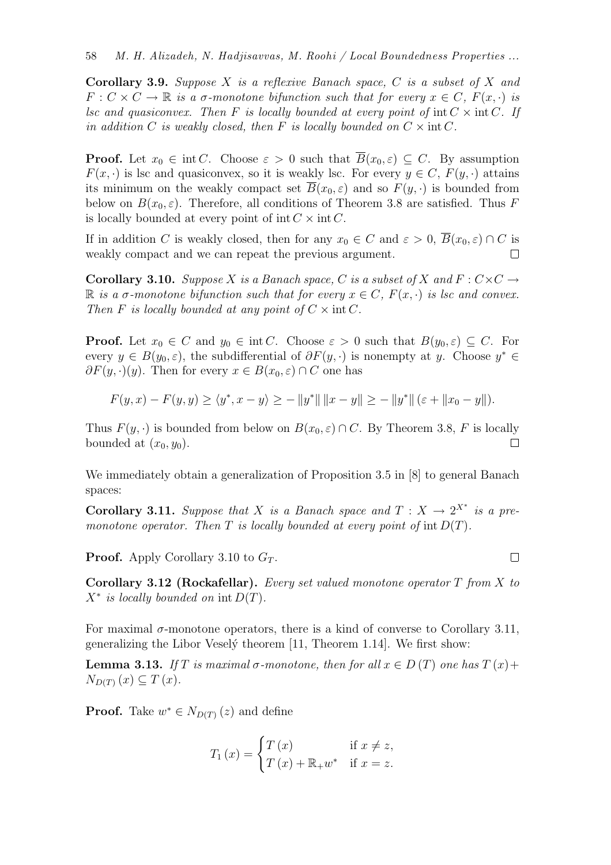Corollary 3.9. *Suppose* X *is a reflexive Banach space,* C *is a subset of* X *and*  $F: C \times C \to \mathbb{R}$  *is a*  $\sigma$ *-monotone bifunction such that for every*  $x \in C$ *,*  $F(x, \cdot)$  *is lsc and quasiconvex. Then* F *is locally bounded at every point of* int  $C \times \text{int } C$ *. If in addition* C *is weakly closed, then* F *is locally bounded on*  $C \times \text{int } C$ *.* 

**Proof.** Let  $x_0 \in \text{int } C$ . Choose  $\varepsilon > 0$  such that  $\overline{B}(x_0, \varepsilon) \subseteq C$ . By assumption  $F(x, \cdot)$  is lsc and quasiconvex, so it is weakly lsc. For every  $y \in C$ ,  $F(y, \cdot)$  attains its minimum on the weakly compact set  $\overline{B}(x_0, \varepsilon)$  and so  $F(y, \cdot)$  is bounded from below on  $B(x_0, \varepsilon)$ . Therefore, all conditions of Theorem 3.8 are satisfied. Thus F is locally bounded at every point of int  $C \times \text{int } C$ .

If in addition C is weakly closed, then for any  $x_0 \in C$  and  $\varepsilon > 0$ ,  $\overline{B}(x_0, \varepsilon) \cap C$  is weakly compact and we can repeat the previous argument.  $\Box$ 

**Corollary 3.10.** *Suppose* X *is a Banach space,* C *is a subset of* X and  $F: C \times C \rightarrow$ R *is a*  $\sigma$ -monotone bifunction such that for every  $x \in C$ ,  $F(x, \cdot)$  *is lsc and convex. Then* F *is locally bounded at any point of*  $C \times \text{int } C$ *.* 

**Proof.** Let  $x_0 \in C$  and  $y_0 \in \text{int } C$ . Choose  $\varepsilon > 0$  such that  $B(y_0, \varepsilon) \subseteq C$ . For every  $y \in B(y_0, \varepsilon)$ , the subdifferential of  $\partial F(y, \cdot)$  is nonempty at y. Choose  $y^* \in$  $\partial F(y, \cdot)(y)$ . Then for every  $x \in B(x_0, \varepsilon) \cap C$  one has

$$
F(y, x) - F(y, y) \ge \langle y^*, x - y \rangle \ge -\|y^*\| \|x - y\| \ge -\|y^*\| (\varepsilon + \|x_0 - y\|).
$$

Thus  $F(y, \cdot)$  is bounded from below on  $B(x_0, \varepsilon) \cap C$ . By Theorem 3.8, F is locally bounded at  $(x_0, y_0)$ .  $\Box$ 

We immediately obtain a generalization of Proposition 3.5 in [8] to general Banach spaces:

**Corollary 3.11.** Suppose that X is a Banach space and  $T : X \to 2^{X^*}$  is a pre*monotone operator. Then*  $T$  *is locally bounded at every point of int*  $D(T)$ *.* 

**Proof.** Apply Corollary 3.10 to  $G_T$ .

Corollary 3.12 (Rockafellar). *Every set valued monotone operator* T *from* X *to*  $X^*$  *is locally bounded on* int  $D(T)$ *.* 

 $\Box$ 

For maximal  $\sigma$ -monotone operators, there is a kind of converse to Corollary 3.11, generalizing the Libor Vesely theorem  $[11,$  Theorem 1.14. We first show:

**Lemma 3.13.** *If* T *is maximal*  $\sigma$ *-monotone, then for all*  $x \in D(T)$  *one has*  $T(x)$ +  $N_{D(T)}(x) \subseteq T(x)$ .

**Proof.** Take  $w^* \in N_{D(T)}(z)$  and define

$$
T_1(x) = \begin{cases} T(x) & \text{if } x \neq z, \\ T(x) + \mathbb{R}_+ w^* & \text{if } x = z. \end{cases}
$$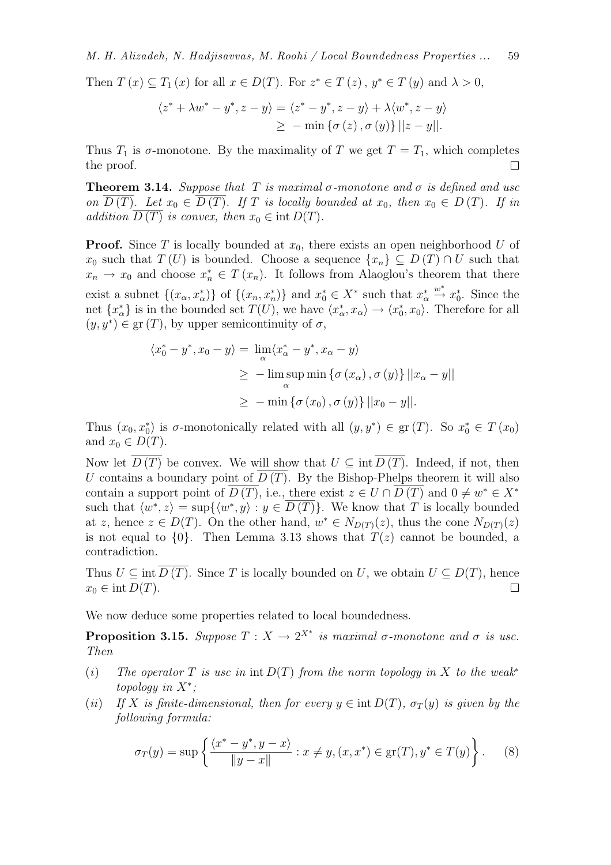Then  $T(x) \subseteq T_1(x)$  for all  $x \in D(T)$ . For  $z^* \in T(z)$ ,  $y^* \in T(y)$  and  $\lambda > 0$ ,

$$
\langle z^* + \lambda w^* - y^*, z - y \rangle = \langle z^* - y^*, z - y \rangle + \lambda \langle w^*, z - y \rangle
$$
  
 
$$
\geq - \min \{ \sigma(z), \sigma(y) \} ||z - y||.
$$

Thus  $T_1$  is  $\sigma$ -monotone. By the maximality of T we get  $T = T_1$ , which completes the proof.  $\Box$ 

**Theorem 3.14.** *Suppose that* T *is maximal*  $\sigma$ -monotone and  $\sigma$  *is defined and usc on*  $D(T)$ *. Let*  $x_0 \in D(T)$ *. If* T *is locally bounded at*  $x_0$ *, then*  $x_0 \in D(T)$ *. If in addition*  $D(T)$  *is convex, then*  $x_0 \in \text{int } D(T)$ *.* 

**Proof.** Since T is locally bounded at  $x_0$ , there exists an open neighborhood U of  $x_0$  such that  $T(U)$  is bounded. Choose a sequence  $\{x_n\} \subseteq D(T) \cap U$  such that  $x_n \to x_0$  and choose  $x_n^* \in T(x_n)$ . It follows from Alaoglou's theorem that there exist a subnet  $\{(x_{\alpha}, x_{\alpha}^*)\}$  of  $\{(x_n, x_n^*)\}$  and  $x_0^* \in X^*$  such that  $x_{\alpha}^*$  $\stackrel{w^*}{\rightarrow} x_0^*$ . Since the net  $\{x_{\alpha}^*\}\$ is in the bounded set  $T(U)$ , we have  $\langle x_{\alpha}^*, x_{\alpha} \rangle \to \langle x_0^*, x_0 \rangle$ . Therefore for all  $(y, y^*) \in \text{gr}(T)$ , by upper semicontinuity of  $\sigma$ ,

$$
\langle x_0^* - y^*, x_0 - y \rangle = \lim_{\alpha} \langle x_\alpha^* - y^*, x_\alpha - y \rangle
$$
  
\n
$$
\geq -\limsup_{\alpha} \min \{ \sigma(x_\alpha), \sigma(y) \} ||x_\alpha - y||
$$
  
\n
$$
\geq -\min \{ \sigma(x_0), \sigma(y) \} ||x_0 - y||.
$$

Thus  $(x_0, x_0^*)$  is  $\sigma$ -monotonically related with all  $(y, y^*) \in \text{gr}(T)$ . So  $x_0^* \in T(x_0)$ and  $x_0 \in D(T)$ .

Now let  $D(T)$  be convex. We will show that  $U \subseteq \text{int } D(T)$ . Indeed, if not, then U contains a boundary point of  $\overline{D(T)}$ . By the Bishop-Phelps theorem it will also contain a support point of  $\overline{D(T)}$ , i.e., there exist  $z \in U \cap \overline{D(T)}$  and  $0 \neq w^* \in X^*$ such that  $\langle w^*, z \rangle = \sup \{ \langle w^*, y \rangle : y \in \overline{D(T)} \}.$  We know that T is locally bounded at z, hence  $z \in D(T)$ . On the other hand,  $w^* \in N_{D(T)}(z)$ , thus the cone  $N_{D(T)}(z)$ is not equal to  $\{0\}$ . Then Lemma 3.13 shows that  $T(z)$  cannot be bounded, a contradiction.

Thus  $U \subseteq \text{int } D(T)$ . Since T is locally bounded on U, we obtain  $U \subseteq D(T)$ , hence  $x_0 \in \text{int } D(T)$ .  $\Box$ 

We now deduce some properties related to local boundedness.

**Proposition 3.15.** Suppose  $T : X \to 2^{X^*}$  is maximal  $\sigma$ -monotone and  $\sigma$  is usc. *Then*

- $(i)$  *The operator*  $T$  *is usc in*  $\text{int } D(T)$  *from the norm topology in*  $X$  *to the weak*<sup>\*</sup> *topology in* X<sup>∗</sup> *;*
- (*ii*) If X is finite-dimensional, then for every  $y \in \text{int } D(T)$ ,  $\sigma_T(y)$  is given by the *following formula:*

$$
\sigma_T(y) = \sup \left\{ \frac{\langle x^* - y^*, y - x \rangle}{\|y - x\|} : x \neq y, (x, x^*) \in \text{gr}(T), y^* \in T(y) \right\}.
$$
 (8)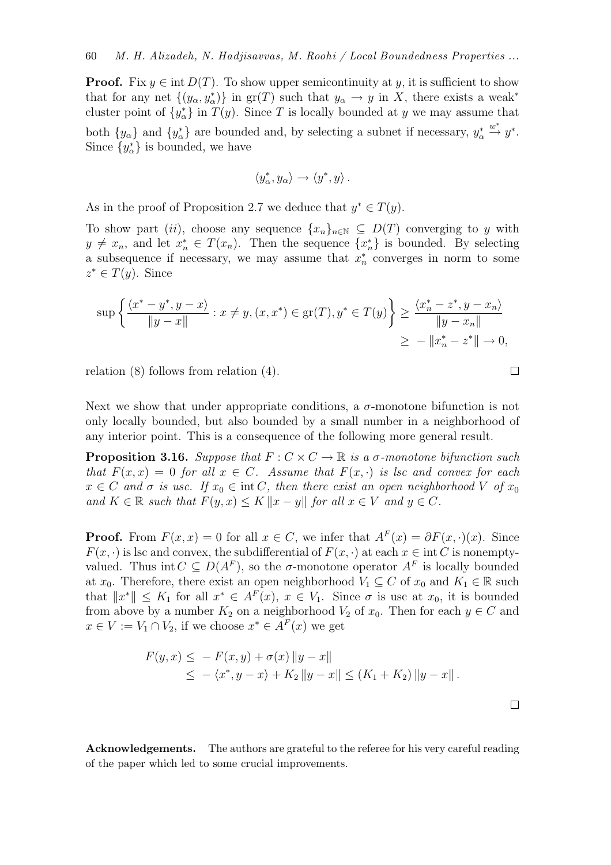**Proof.** Fix  $y \in \text{int } D(T)$ . To show upper semicontinuity at y, it is sufficient to show that for any net  $\{(y_\alpha, y_\alpha^*)\}$  in  $gr(T)$  such that  $y_\alpha \to y$  in X, there exists a weak<sup>\*</sup> cluster point of  $\{y^*_{\alpha}\}\$ in  $T(y)$ . Since T is locally bounded at y we may assume that both  $\{y_{\alpha}\}\$  and  $\{y_{\alpha}^*\}\$  are bounded and, by selecting a subnet if necessary,  $y_{\alpha}^*$  $\stackrel{w^*}{\rightarrow} y^*$ . Since  $\{y^*_{\alpha}\}\$ is bounded, we have

$$
\langle y^*_\alpha,y_\alpha\rangle\to \langle y^*,y\rangle\,.
$$

As in the proof of Proposition 2.7 we deduce that  $y^* \in T(y)$ .

To show part (ii), choose any sequence  $\{x_n\}_{n\in\mathbb{N}}\subseteq D(T)$  converging to y with  $y \neq x_n$ , and let  $x_n^* \in T(x_n)$ . Then the sequence  $\{x_n^*\}$  is bounded. By selecting a subsequence if necessary, we may assume that  $x_n^*$  converges in norm to some  $z^* \in T(y)$ . Since

$$
\sup \left\{ \frac{\langle x^* - y^*, y - x \rangle}{\|y - x\|} : x \neq y, (x, x^*) \in \text{gr}(T), y^* \in T(y) \right\} \ge \frac{\langle x^*_n - z^*, y - x_n \rangle}{\|y - x_n\|} \ge -\|x^*_n - z^*\| \to 0,
$$

relation (8) follows from relation (4).

Next we show that under appropriate conditions, a  $\sigma$ -monotone bifunction is not only locally bounded, but also bounded by a small number in a neighborhood of any interior point. This is a consequence of the following more general result.

**Proposition 3.16.** *Suppose that*  $F: C \times C \rightarrow \mathbb{R}$  *is a*  $\sigma$ -monotone bifunction such *that*  $F(x, x) = 0$  *for all*  $x \in C$ *. Assume that*  $F(x, \cdot)$  *is lsc and convex for each*  $x \in C$  *and*  $\sigma$  *is usc.* If  $x_0 \in \text{int } C$ , then there exist an open neighborhood V of  $x_0$ *and*  $K \in \mathbb{R}$  *such that*  $F(y, x) \leq K ||x - y||$  *for all*  $x \in V$  *and*  $y \in C$ *.* 

**Proof.** From  $F(x, x) = 0$  for all  $x \in C$ , we infer that  $A^F(x) = \partial F(x, \cdot)(x)$ . Since  $F(x, \cdot)$  is lsc and convex, the subdifferential of  $F(x, \cdot)$  at each  $x \in \text{int } C$  is nonemptyvalued. Thus int  $C \subseteq D(A^F)$ , so the  $\sigma$ -monotone operator  $A^F$  is locally bounded at  $x_0$ . Therefore, there exist an open neighborhood  $V_1 \subseteq C$  of  $x_0$  and  $K_1 \in \mathbb{R}$  such that  $||x^*|| \leq K_1$  for all  $x^* \in A^F(x)$ ,  $x \in V_1$ . Since  $\sigma$  is usc at  $x_0$ , it is bounded from above by a number  $K_2$  on a neighborhood  $V_2$  of  $x_0$ . Then for each  $y \in C$  and  $x \in V := V_1 \cap V_2$ , if we choose  $x^* \in A^F(x)$  we get

$$
F(y,x) \le - F(x,y) + \sigma(x) \|y - x\|
$$
  
 
$$
\le - \langle x^*, y - x \rangle + K_2 \|y - x\| \le (K_1 + K_2) \|y - x\|.
$$

Acknowledgements. The authors are grateful to the referee for his very careful reading of the paper which led to some crucial improvements.

 $\Box$ 

 $\Box$